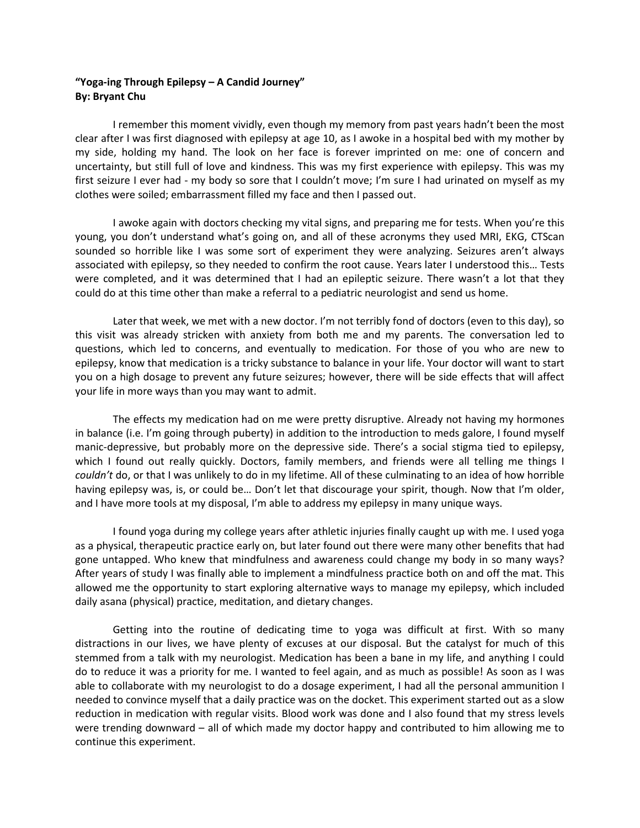## **"Yoga-ing Through Epilepsy – A Candid Journey" By: Bryant Chu**

I remember this moment vividly, even though my memory from past years hadn't been the most clear after I was first diagnosed with epilepsy at age 10, as I awoke in a hospital bed with my mother by my side, holding my hand. The look on her face is forever imprinted on me: one of concern and uncertainty, but still full of love and kindness. This was my first experience with epilepsy. This was my first seizure I ever had - my body so sore that I couldn't move; I'm sure I had urinated on myself as my clothes were soiled; embarrassment filled my face and then I passed out.

I awoke again with doctors checking my vital signs, and preparing me for tests. When you're this young, you don't understand what's going on, and all of these acronyms they used MRI, EKG, CTScan sounded so horrible like I was some sort of experiment they were analyzing. Seizures aren't always associated with epilepsy, so they needed to confirm the root cause. Years later I understood this… Tests were completed, and it was determined that I had an epileptic seizure. There wasn't a lot that they could do at this time other than make a referral to a pediatric neurologist and send us home.

Later that week, we met with a new doctor. I'm not terribly fond of doctors (even to this day), so this visit was already stricken with anxiety from both me and my parents. The conversation led to questions, which led to concerns, and eventually to medication. For those of you who are new to epilepsy, know that medication is a tricky substance to balance in your life. Your doctor will want to start you on a high dosage to prevent any future seizures; however, there will be side effects that will affect your life in more ways than you may want to admit.

The effects my medication had on me were pretty disruptive. Already not having my hormones in balance (i.e. I'm going through puberty) in addition to the introduction to meds galore, I found myself manic-depressive, but probably more on the depressive side. There's a social stigma tied to epilepsy, which I found out really quickly. Doctors, family members, and friends were all telling me things I *couldn't* do, or that I was unlikely to do in my lifetime. All of these culminating to an idea of how horrible having epilepsy was, is, or could be... Don't let that discourage your spirit, though. Now that I'm older, and I have more tools at my disposal, I'm able to address my epilepsy in many unique ways.

I found yoga during my college years after athletic injuries finally caught up with me. I used yoga as a physical, therapeutic practice early on, but later found out there were many other benefits that had gone untapped. Who knew that mindfulness and awareness could change my body in so many ways? After years of study I was finally able to implement a mindfulness practice both on and off the mat. This allowed me the opportunity to start exploring alternative ways to manage my epilepsy, which included daily asana (physical) practice, meditation, and dietary changes.

Getting into the routine of dedicating time to yoga was difficult at first. With so many distractions in our lives, we have plenty of excuses at our disposal. But the catalyst for much of this stemmed from a talk with my neurologist. Medication has been a bane in my life, and anything I could do to reduce it was a priority for me. I wanted to feel again, and as much as possible! As soon as I was able to collaborate with my neurologist to do a dosage experiment, I had all the personal ammunition I needed to convince myself that a daily practice was on the docket. This experiment started out as a slow reduction in medication with regular visits. Blood work was done and I also found that my stress levels were trending downward – all of which made my doctor happy and contributed to him allowing me to continue this experiment.